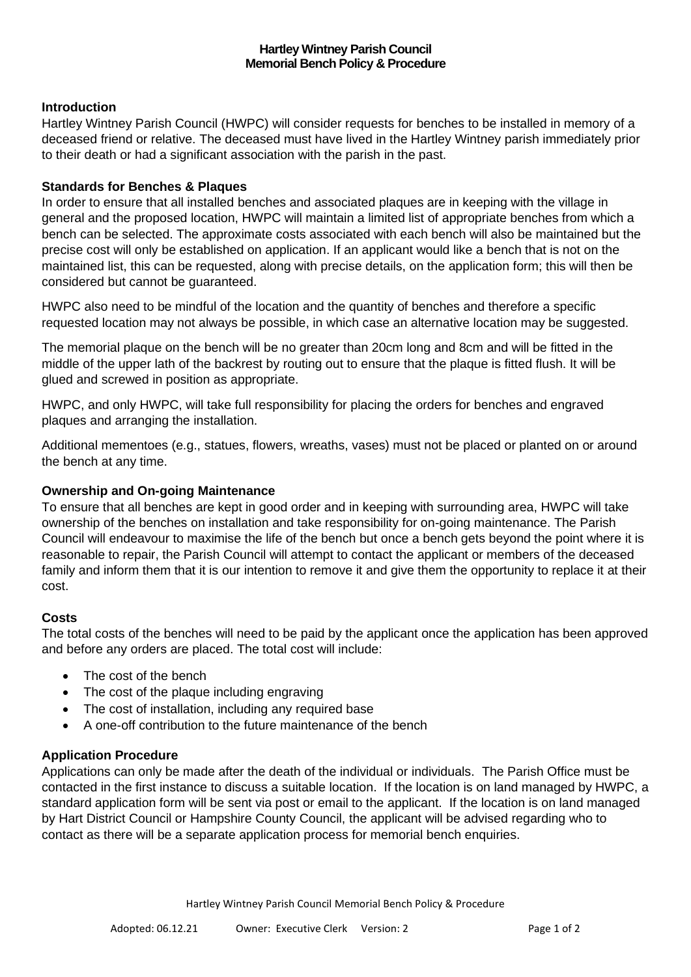# **Introduction**

Hartley Wintney Parish Council (HWPC) will consider requests for benches to be installed in memory of a deceased friend or relative. The deceased must have lived in the Hartley Wintney parish immediately prior to their death or had a significant association with the parish in the past.

## **Standards for Benches & Plaques**

In order to ensure that all installed benches and associated plaques are in keeping with the village in general and the proposed location, HWPC will maintain a limited list of appropriate benches from which a bench can be selected. The approximate costs associated with each bench will also be maintained but the precise cost will only be established on application. If an applicant would like a bench that is not on the maintained list, this can be requested, along with precise details, on the application form; this will then be considered but cannot be guaranteed.

HWPC also need to be mindful of the location and the quantity of benches and therefore a specific requested location may not always be possible, in which case an alternative location may be suggested.

The memorial plaque on the bench will be no greater than 20cm long and 8cm and will be fitted in the middle of the upper lath of the backrest by routing out to ensure that the plaque is fitted flush. It will be glued and screwed in position as appropriate.

HWPC, and only HWPC, will take full responsibility for placing the orders for benches and engraved plaques and arranging the installation.

Additional mementoes (e.g., statues, flowers, wreaths, vases) must not be placed or planted on or around the bench at any time.

#### **Ownership and On-going Maintenance**

To ensure that all benches are kept in good order and in keeping with surrounding area, HWPC will take ownership of the benches on installation and take responsibility for on-going maintenance. The Parish Council will endeavour to maximise the life of the bench but once a bench gets beyond the point where it is reasonable to repair, the Parish Council will attempt to contact the applicant or members of the deceased family and inform them that it is our intention to remove it and give them the opportunity to replace it at their cost.

#### **Costs**

The total costs of the benches will need to be paid by the applicant once the application has been approved and before any orders are placed. The total cost will include:

- The cost of the bench
- The cost of the plaque including engraving
- The cost of installation, including any required base
- A one-off contribution to the future maintenance of the bench

#### **Application Procedure**

Applications can only be made after the death of the individual or individuals. The Parish Office must be contacted in the first instance to discuss a suitable location. If the location is on land managed by HWPC, a standard application form will be sent via post or email to the applicant. If the location is on land managed by Hart District Council or Hampshire County Council, the applicant will be advised regarding who to contact as there will be a separate application process for memorial bench enquiries.